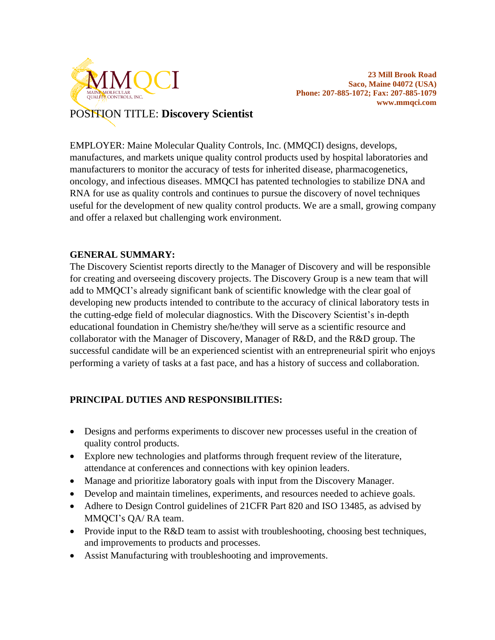

POSITION TITLE: **Discovery Scientist**

EMPLOYER: Maine Molecular Quality Controls, Inc. (MMQCI) designs, develops, manufactures, and markets unique quality control products used by hospital laboratories and manufacturers to monitor the accuracy of tests for inherited disease, pharmacogenetics, oncology, and infectious diseases. MMQCI has patented technologies to stabilize DNA and RNA for use as quality controls and continues to pursue the discovery of novel techniques useful for the development of new quality control products. We are a small, growing company and offer a relaxed but challenging work environment.

#### **GENERAL SUMMARY:**

The Discovery Scientist reports directly to the Manager of Discovery and will be responsible for creating and overseeing discovery projects. The Discovery Group is a new team that will add to MMQCI's already significant bank of scientific knowledge with the clear goal of developing new products intended to contribute to the accuracy of clinical laboratory tests in the cutting-edge field of molecular diagnostics. With the Discovery Scientist's in-depth educational foundation in Chemistry she/he/they will serve as a scientific resource and collaborator with the Manager of Discovery, Manager of R&D, and the R&D group. The successful candidate will be an experienced scientist with an entrepreneurial spirit who enjoys performing a variety of tasks at a fast pace, and has a history of success and collaboration.

## **PRINCIPAL DUTIES AND RESPONSIBILITIES:**

- Designs and performs experiments to discover new processes useful in the creation of quality control products.
- Explore new technologies and platforms through frequent review of the literature, attendance at conferences and connections with key opinion leaders.
- Manage and prioritize laboratory goals with input from the Discovery Manager.
- Develop and maintain timelines, experiments, and resources needed to achieve goals.
- Adhere to Design Control guidelines of 21CFR Part 820 and ISO 13485, as advised by MMQCI's QA/ RA team.
- Provide input to the R&D team to assist with troubleshooting, choosing best techniques, and improvements to products and processes.
- Assist Manufacturing with troubleshooting and improvements.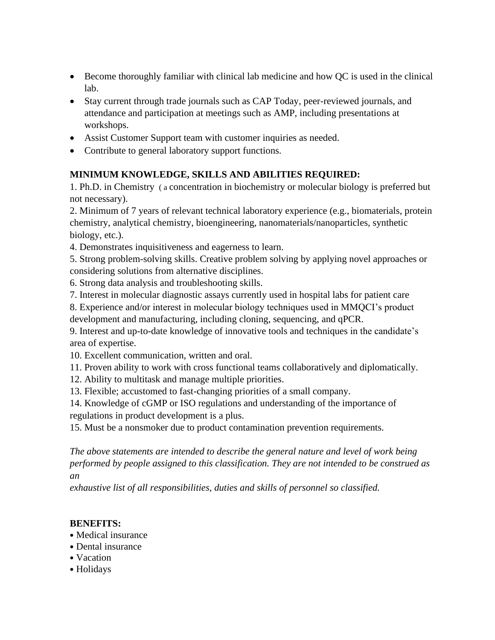- Become thoroughly familiar with clinical lab medicine and how QC is used in the clinical lab.
- Stay current through trade journals such as CAP Today, peer-reviewed journals, and attendance and participation at meetings such as AMP, including presentations at workshops.
- Assist Customer Support team with customer inquiries as needed.
- Contribute to general laboratory support functions.

## **MINIMUM KNOWLEDGE, SKILLS AND ABILITIES REQUIRED:**

1. Ph.D. in Chemistry ( a concentration in biochemistry or molecular biology is preferred but not necessary).

2. Minimum of 7 years of relevant technical laboratory experience (e.g., biomaterials, protein chemistry, analytical chemistry, bioengineering, nanomaterials/nanoparticles, synthetic biology, etc.).

4. Demonstrates inquisitiveness and eagerness to learn.

5. Strong problem-solving skills. Creative problem solving by applying novel approaches or considering solutions from alternative disciplines.

- 6. Strong data analysis and troubleshooting skills.
- 7. Interest in molecular diagnostic assays currently used in hospital labs for patient care

8. Experience and/or interest in molecular biology techniques used in MMQCI's product development and manufacturing, including cloning, sequencing, and qPCR.

9. Interest and up-to-date knowledge of innovative tools and techniques in the candidate's area of expertise.

- 10. Excellent communication, written and oral.
- 11. Proven ability to work with cross functional teams collaboratively and diplomatically.
- 12. Ability to multitask and manage multiple priorities.
- 13. Flexible; accustomed to fast-changing priorities of a small company.

14. Knowledge of cGMP or ISO regulations and understanding of the importance of regulations in product development is a plus.

15. Must be a nonsmoker due to product contamination prevention requirements.

*The above statements are intended to describe the general nature and level of work being performed by people assigned to this classification. They are not intended to be construed as an*

*exhaustive list of all responsibilities, duties and skills of personnel so classified.*

#### **BENEFITS:**

- Medical insurance
- Dental insurance
- Vacation
- Holidays